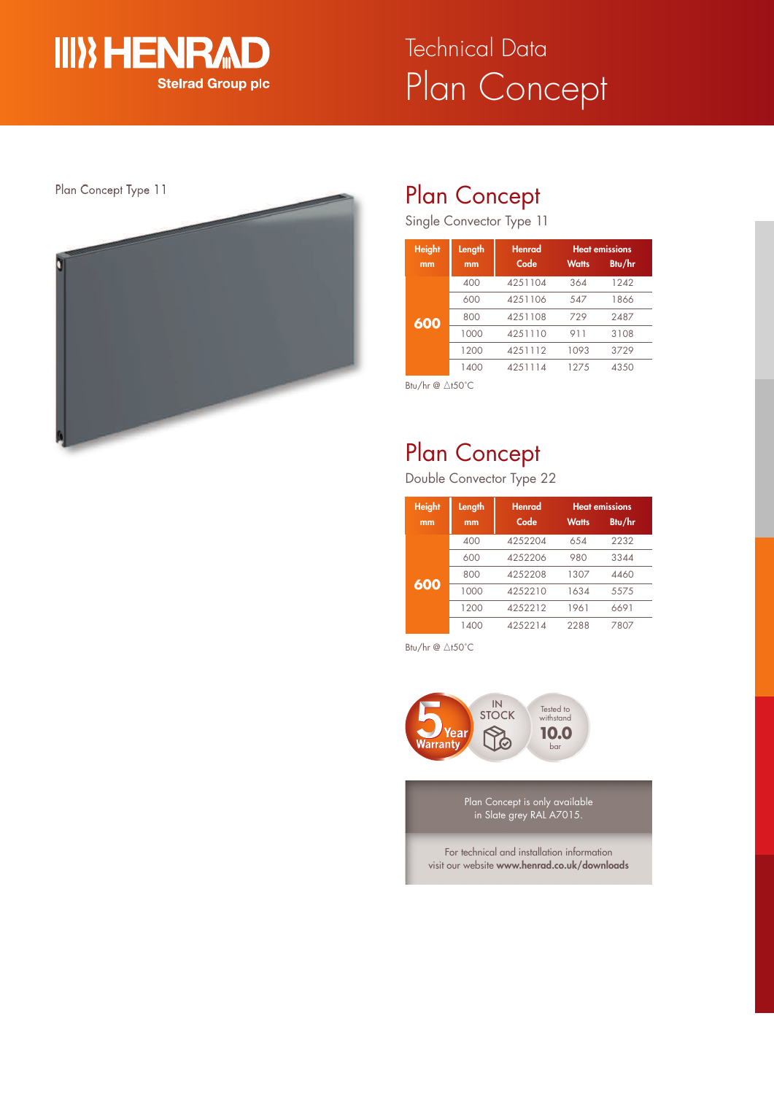

# Plan Concept Technical Data



## Plan Concept

Single Convector Type 11

| <b>Height</b><br>mm | Length<br>mm | <b>Henrad</b><br>Code | <b>Watts</b> | <b>Heat emissions</b><br>Btu/hr |
|---------------------|--------------|-----------------------|--------------|---------------------------------|
|                     |              |                       |              |                                 |
|                     | 400          | 4251104               | 364          | 1242                            |
|                     | 600          | 4251106               | 547          | 1866                            |
| 600                 | 800          | 4251108               | 729          | 2487                            |
|                     | 1000         | 4251110               | 911          | 3108                            |
|                     | 1200         | 4251112               | 1093         | 3729                            |
|                     | 1400         | 4251114               | 127.5        | 4350                            |

Btu/hr @ ∆t50°C

## Plan Concept

Double Convector Type 22

| <b>Height</b><br>mm | Length<br>mm | <b>Henrad</b><br>Code | <b>Watts</b> | <b>Heat emissions</b><br>Btu/hr |
|---------------------|--------------|-----------------------|--------------|---------------------------------|
|                     | 400          | 4252204               | 654          | 2232                            |
|                     | 600          | 4252206               | 980          | 3344                            |
|                     | 800          | 4252208               | 1307         | 4460                            |
| 600                 | 1000         | 4252210               | 1634         | 5575                            |
|                     | 1200         | 4252212               | 1961         | 6691                            |
|                     | 1400         | 4252214               | 2288         | 7807                            |

Btu/hr  $@ \triangle$ t50°C



Plan Concept is only available in Slate grey RAL A7015.

For technical and installation information visit our website **www.henrad.co.uk/downloads**